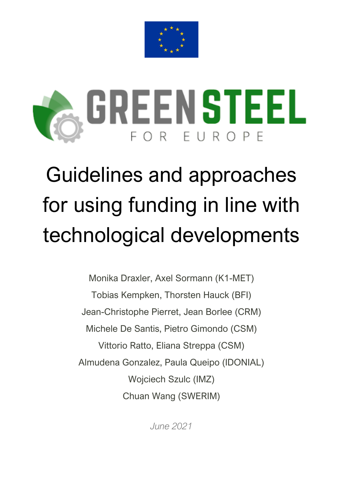



## Guidelines and approaches for using funding in line with technological developments

Monika Draxler, Axel Sormann (K1-MET) Tobias Kempken, Thorsten Hauck (BFI) Jean-Christophe Pierret, Jean Borlee (CRM) Michele De Santis, Pietro Gimondo (CSM) Vittorio Ratto, Eliana Streppa (CSM) Almudena Gonzalez, Paula Queipo (IDONIAL) Wojciech Szulc (IMZ) Chuan Wang (SWERIM)

*June 2021*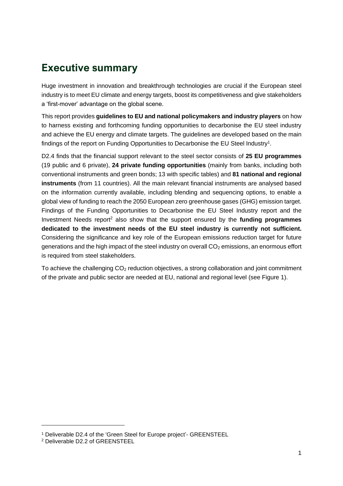## **Executive summary**

Huge investment in innovation and breakthrough technologies are crucial if the European steel industry is to meet EU climate and energy targets, boost its competitiveness and give stakeholders a 'first-mover' advantage on the global scene.

This report provides **guidelines to EU and national policymakers and industry players** on how to harness existing and forthcoming funding opportunities to decarbonise the EU steel industry and achieve the EU energy and climate targets. The guidelines are developed based on the main findings of the report on Funding Opportunities to Decarbonise the EU Steel Industry<sup>1</sup>.

D2.4 finds that the financial support relevant to the steel sector consists of **25 EU programmes** (19 public and 6 private), **24 private funding opportunities** (mainly from banks, including both conventional instruments and green bonds; 13 with specific tables) and **81 national and regional instruments** (from 11 countries). All the main relevant financial instruments are analysed based on the information currently available, including blending and sequencing options, to enable a global view of funding to reach the 2050 European zero greenhouse gases (GHG) emission target. Findings of the Funding Opportunities to Decarbonise the EU Steel Industry report and the Investment Needs report<sup>2</sup> also show that the support ensured by the **funding programmes dedicated to the investment needs of the EU steel industry is currently not sufficient.** Considering the significance and key role of the European emissions reduction target for future generations and the high impact of the steel industry on overall  $CO<sub>2</sub>$  emissions, an enormous effort is required from steel stakeholders.

To achieve the challenging CO<sub>2</sub> reduction objectives, a strong collaboration and joint commitment of the private and public sector are needed at EU, national and regional level (see Figure 1).

<sup>1</sup> Deliverable D2.4 of the 'Green Steel for Europe project'- GREENSTEEL

<sup>2</sup> Deliverable D2.2 of GREENSTEEL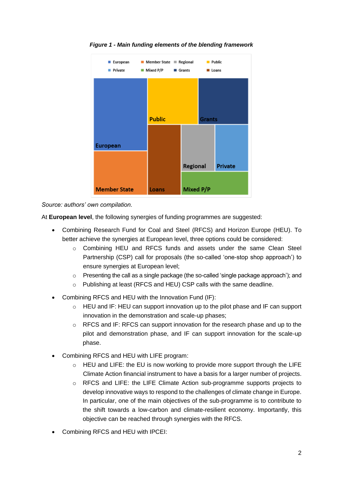

*Figure 1 - Main funding elements of the blending framework*

*Source: authors' own compilation.*

At **European level**, the following synergies of funding programmes are suggested:

- Combining Research Fund for Coal and Steel (RFCS) and Horizon Europe (HEU). To better achieve the synergies at European level, three options could be considered:
	- $\circ$  Combining HEU and RFCS funds and assets under the same Clean Steel Partnership (CSP) call for proposals (the so-called 'one-stop shop approach') to ensure synergies at European level;
	- $\circ$  Presenting the call as a single package (the so-called 'single package approach'); and
	- o Publishing at least (RFCS and HEU) CSP calls with the same deadline.
- Combining RFCS and HEU with the Innovation Fund (IF):
	- $\circ$  HEU and IF: HEU can support innovation up to the pilot phase and IF can support innovation in the demonstration and scale-up phases;
	- o RFCS and IF: RFCS can support innovation for the research phase and up to the pilot and demonstration phase, and IF can support innovation for the scale-up phase.
- Combining RFCS and HEU with LIFE program:
	- $\circ$  HEU and LIFE: the EU is now working to provide more support through the LIFE Climate Action financial instrument to have a basis for a larger number of projects.
	- $\circ$  RFCS and LIFE: the LIFE Climate Action sub-programme supports projects to develop innovative ways to respond to the challenges of climate change in Europe. In particular, one of the main objectives of the sub-programme is to contribute to the shift towards a low-carbon and climate-resilient economy. Importantly, this objective can be reached through synergies with the RFCS.
- Combining RFCS and HEU with IPCEI: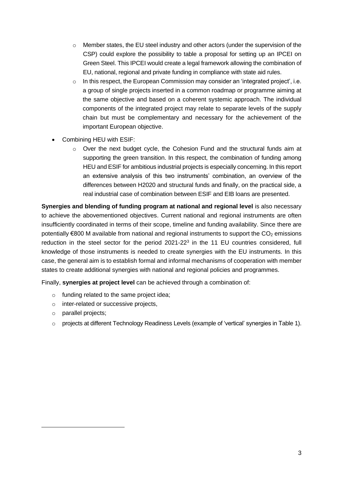- $\circ$  Member states, the EU steel industry and other actors (under the supervision of the CSP) could explore the possibility to table a proposal for setting up an IPCEI on Green Steel. This IPCEI would create a legal framework allowing the combination of EU, national, regional and private funding in compliance with state aid rules.
- o In this respect, the European Commission may consider an 'integrated project', i.e. a group of single projects inserted in a common roadmap or programme aiming at the same objective and based on a coherent systemic approach. The individual components of the integrated project may relate to separate levels of the supply chain but must be complementary and necessary for the achievement of the important European objective.
- Combining HEU with ESIF:
	- o Over the next budget cycle, the Cohesion Fund and the structural funds aim at supporting the green transition. In this respect, the combination of funding among HEU and ESIF for ambitious industrial projects is especially concerning. In this report an extensive analysis of this two instruments' combination, an overview of the differences between H2020 and structural funds and finally, on the practical side, a real industrial case of combination between ESIF and EIB loans are presented.

**Synergies and blending of funding program at national and regional level** is also necessary to achieve the abovementioned objectives. Current national and regional instruments are often insufficiently coordinated in terms of their scope, timeline and funding availability. Since there are potentially  $\epsilon$ 800 M available from national and regional instruments to support the CO<sub>2</sub> emissions reduction in the steel sector for the period 2021-22 $3$  in the 11 EU countries considered, full knowledge of those instruments is needed to create synergies with the EU instruments. In this case, the general aim is to establish formal and informal mechanisms of cooperation with member states to create additional synergies with national and regional policies and programmes.

Finally, **synergies at project level** can be achieved through a combination of:

- o funding related to the same project idea;
- o inter-related or successive projects,
- o parallel projects;
- $\circ$  projects at different Technology Readiness Levels (example of 'vertical' synergies in Table 1).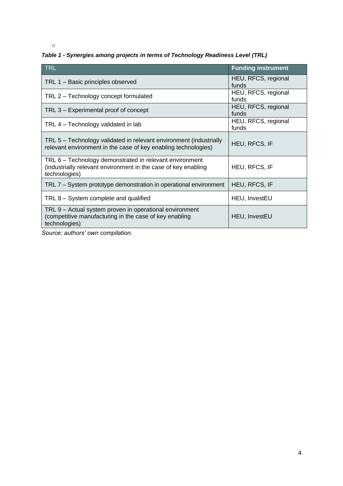o

## *Table 1 - Synergies among projects in terms of Technology Readiness Level (TRL)*

| TRL                                                                                                                                        | <b>Funding instrument</b>    |
|--------------------------------------------------------------------------------------------------------------------------------------------|------------------------------|
| TRL 1 - Basic principles observed                                                                                                          | HEU, RFCS, regional<br>funds |
| TRL 2 - Technology concept formulated                                                                                                      | HEU, RFCS, regional<br>funds |
| TRL 3 - Experimental proof of concept                                                                                                      | HEU, RFCS, regional<br>funds |
| TRL 4 – Technology validated in lab                                                                                                        | HEU, RFCS, regional<br>funds |
| TRL 5 - Technology validated in relevant environment (industrially<br>relevant environment in the case of key enabling technologies)       | HEU, RFCS, IF                |
| TRL 6 – Technology demonstrated in relevant environment<br>(industrially relevant environment in the case of key enabling<br>technologies) | <b>HEU, RFCS, IF</b>         |
| TRL 7 – System prototype demonstration in operational environment                                                                          | <b>HEU, RFCS, IF</b>         |
| TRL 8 – System complete and qualified                                                                                                      | HEU, InvestEU                |
| TRL 9 - Actual system proven in operational environment<br>(competitive manufacturing in the case of key enabling<br>technologies)         | HEU, InvestEU                |

*Source: authors' own compilation.*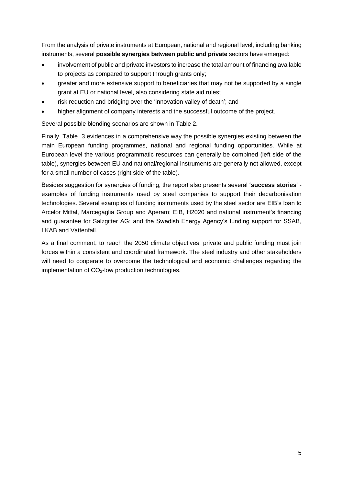From the analysis of private instruments at European, national and regional level, including banking instruments, several **possible synergies between public and private** sectors have emerged:

- involvement of public and private investors to increase the total amount of financing available to projects as compared to support through grants only;
- greater and more extensive support to beneficiaries that may not be supported by a single grant at EU or national level, also considering state aid rules;
- risk reduction and bridging over the 'innovation valley of death'; and
- higher alignment of company interests and the successful outcome of the project.

Several possible blending scenarios are shown in Table 2.

Finally, [Table](#page-7-0) 3 evidences in a comprehensive way the possible synergies existing between the main European funding programmes, national and regional funding opportunities. While at European level the various programmatic resources can generally be combined (left side of the table), synergies between EU and national/regional instruments are generally not allowed, except for a small number of cases (right side of the table).

Besides suggestion for synergies of funding, the report also presents several '**success stories**' examples of funding instruments used by steel companies to support their decarbonisation technologies. Several examples of funding instruments used by the steel sector are EIB's loan to Arcelor Mittal, Marcegaglia Group and Aperam; EIB, H2020 and national instrument's financing and guarantee for Salzgitter AG; and the Swedish Energy Agency's funding support for SSAB, LKAB and Vattenfall.

As a final comment, to reach the 2050 climate objectives, private and public funding must join forces within a consistent and coordinated framework. The steel industry and other stakeholders will need to cooperate to overcome the technological and economic challenges regarding the implementation of  $CO<sub>2</sub>$ -low production technologies.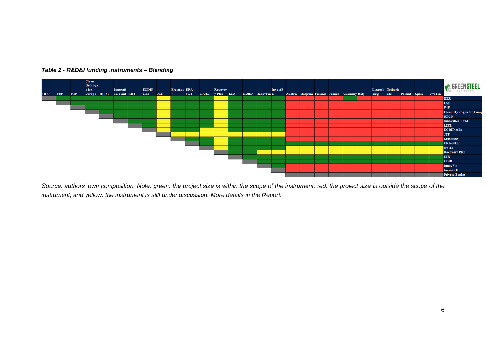

## *Table 2 - R&D&I funding instruments – Blending*

Source: authors' own composition. Note: green: the project size is within the scope of the instrument; red: the project size is outside the scope of the *instrument; and yellow: the instrument is still under discussion. More details in the Report.*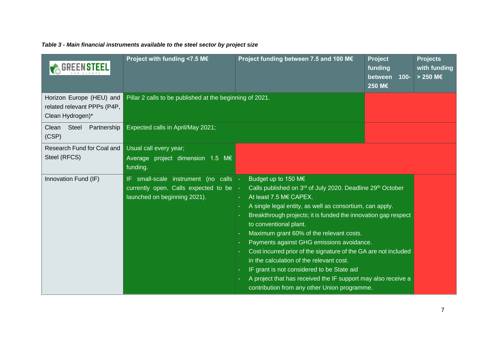| Table 3 - Main financial instruments available to the steel sector by project size |  |  |  |  |  |  |
|------------------------------------------------------------------------------------|--|--|--|--|--|--|
|------------------------------------------------------------------------------------|--|--|--|--|--|--|

<span id="page-7-0"></span>

|                                                                             | Project with funding <7.5 M€                                                                                            | Project funding between 7.5 and 100 M€                                                                                                                                                                                                                                                                                                                                                                                                                                                                                                                                                                                                                             | Project<br>funding<br>between<br>$100 -$<br>250 M€ | <b>Projects</b><br>with funding<br>$> 250$ M€ |
|-----------------------------------------------------------------------------|-------------------------------------------------------------------------------------------------------------------------|--------------------------------------------------------------------------------------------------------------------------------------------------------------------------------------------------------------------------------------------------------------------------------------------------------------------------------------------------------------------------------------------------------------------------------------------------------------------------------------------------------------------------------------------------------------------------------------------------------------------------------------------------------------------|----------------------------------------------------|-----------------------------------------------|
| Horizon Europe (HEU) and<br>related relevant PPPs (P4P,<br>Clean Hydrogen)* | Pillar 2 calls to be published at the beginning of 2021.                                                                |                                                                                                                                                                                                                                                                                                                                                                                                                                                                                                                                                                                                                                                                    |                                                    |                                               |
| Steel<br>Partnership<br>Clean<br>(CSP)                                      | Expected calls in April/May 2021;                                                                                       |                                                                                                                                                                                                                                                                                                                                                                                                                                                                                                                                                                                                                                                                    |                                                    |                                               |
| Research Fund for Coal and<br>Steel (RFCS)                                  | Usual call every year;<br>Average project dimension 1.5 M€<br>funding.                                                  |                                                                                                                                                                                                                                                                                                                                                                                                                                                                                                                                                                                                                                                                    |                                                    |                                               |
| Innovation Fund (IF)                                                        | IF small-scale instrument (no calls $\vert$ -<br>currently open. Calls expected to be -<br>launched on beginning 2021). | Budget up to 150 M€<br>Calls published on 3 <sup>rd</sup> of July 2020. Deadline 29 <sup>th</sup> October<br>At least 7.5 M€ CAPEX.<br>A single legal entity, as well as consortium, can apply.<br>Breakthrough projects; it is funded the innovation gap respect<br>to conventional plant.<br>Maximum grant 60% of the relevant costs.<br>Payments against GHG emissions avoidance.<br>Cost incurred prior of the signature of the GA are not included<br>in the calculation of the relevant cost.<br>IF grant is not considered to be State aid<br>A project that has received the IF support may also receive a<br>contribution from any other Union programme. |                                                    |                                               |